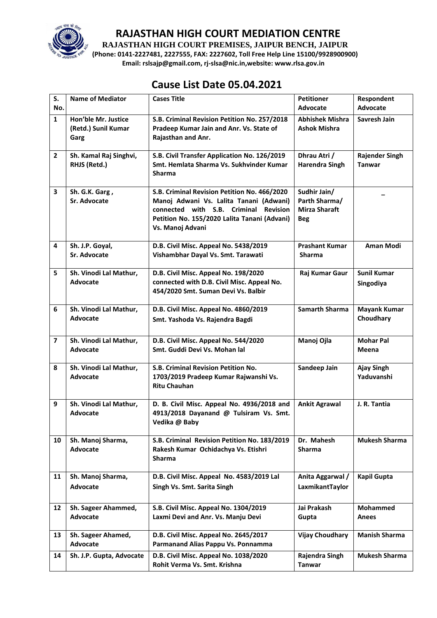

**RAJASTHAN HIGH COURT PREMISES, JAIPUR BENCH, JAIPUR**

**(Phone: 0141-2227481, 2227555, FAX: 2227602, Toll Free Help Line 15100/9928900900) Email: rslsajp@gmail.com, rj-slsa@nic.in,website: www.rlsa.gov.in**

| S.<br>No.               | <b>Name of Mediator</b>                            | <b>Cases Title</b>                                                                                                                                                                                   | <b>Petitioner</b><br><b>Advocate</b>                                | Respondent<br>Advocate                 |
|-------------------------|----------------------------------------------------|------------------------------------------------------------------------------------------------------------------------------------------------------------------------------------------------------|---------------------------------------------------------------------|----------------------------------------|
| $\mathbf{1}$            | Hon'ble Mr. Justice<br>(Retd.) Sunil Kumar<br>Garg | S.B. Criminal Revision Petition No. 257/2018<br>Pradeep Kumar Jain and Anr. Vs. State of<br>Rajasthan and Anr.                                                                                       | <b>Abhishek Mishra</b><br><b>Ashok Mishra</b>                       | Savresh Jain                           |
| $\overline{2}$          | Sh. Kamal Raj Singhvi,<br>RHJS (Retd.)             | S.B. Civil Transfer Application No. 126/2019<br>Smt. Hemlata Sharma Vs. Sukhvinder Kumar<br><b>Sharma</b>                                                                                            | Dhrau Atri /<br><b>Harendra Singh</b>                               | <b>Rajender Singh</b><br><b>Tanwar</b> |
| $\overline{\mathbf{3}}$ | Sh. G.K. Garg,<br>Sr. Advocate                     | S.B. Criminal Revision Petition No. 466/2020<br>Manoj Adwani Vs. Lalita Tanani (Adwani)<br>connected with S.B. Criminal Revision<br>Petition No. 155/2020 Lalita Tanani (Advani)<br>Vs. Manoj Advani | Sudhir Jain/<br>Parth Sharma/<br><b>Mirza Sharaft</b><br><b>Beg</b> |                                        |
| $\overline{\mathbf{4}}$ | Sh. J.P. Goyal,<br>Sr. Advocate                    | D.B. Civil Misc. Appeal No. 5438/2019<br>Vishambhar Dayal Vs. Smt. Tarawati                                                                                                                          | <b>Prashant Kumar</b><br><b>Sharma</b>                              | <b>Aman Modi</b>                       |
| 5                       | Sh. Vinodi Lal Mathur,<br><b>Advocate</b>          | D.B. Civil Misc. Appeal No. 198/2020<br>connected with D.B. Civil Misc. Appeal No.<br>454/2020 Smt. Suman Devi Vs. Balbir                                                                            | Raj Kumar Gaur                                                      | <b>Sunil Kumar</b><br>Singodiya        |
| 6                       | Sh. Vinodi Lal Mathur,<br><b>Advocate</b>          | D.B. Civil Misc. Appeal No. 4860/2019<br>Smt. Yashoda Vs. Rajendra Bagdi                                                                                                                             | <b>Samarth Sharma</b>                                               | <b>Mayank Kumar</b><br>Choudhary       |
| $\overline{7}$          | Sh. Vinodi Lal Mathur,<br><b>Advocate</b>          | D.B. Civil Misc. Appeal No. 544/2020<br>Smt. Guddi Devi Vs. Mohan lal                                                                                                                                | Manoj Ojla                                                          | <b>Mohar Pal</b><br>Meena              |
| 8                       | Sh. Vinodi Lal Mathur,<br><b>Advocate</b>          | S.B. Criminal Revision Petition No.<br>1703/2019 Pradeep Kumar Rajwanshi Vs.<br><b>Ritu Chauhan</b>                                                                                                  | Sandeep Jain                                                        | Ajay Singh<br>Yaduvanshi               |
| 9                       | Sh. Vinodi Lal Mathur,<br><b>Advocate</b>          | D. B. Civil Misc. Appeal No. 4936/2018 and<br>4913/2018 Dayanand @ Tulsiram Vs. Smt.<br>Vedika @ Baby                                                                                                | <b>Ankit Agrawal</b>                                                | J. R. Tantia                           |
| 10                      | Sh. Manoj Sharma,<br>Advocate                      | S.B. Criminal Revision Petition No. 183/2019<br>Rakesh Kumar Ochidachya Vs. Etishri<br><b>Sharma</b>                                                                                                 | Dr. Mahesh<br>Sharma                                                | <b>Mukesh Sharma</b>                   |
| 11                      | Sh. Manoj Sharma,<br><b>Advocate</b>               | D.B. Civil Misc. Appeal No. 4583/2019 Lal<br>Singh Vs. Smt. Sarita Singh                                                                                                                             | Anita Aggarwal /<br>LaxmikantTaylor                                 | Kapil Gupta                            |
| 12                      | Sh. Sageer Ahammed,<br><b>Advocate</b>             | S.B. Civil Misc. Appeal No. 1304/2019<br>Laxmi Devi and Anr. Vs. Manju Devi                                                                                                                          | Jai Prakash<br>Gupta                                                | <b>Mohammed</b><br><b>Anees</b>        |
| 13                      | Sh. Sageer Ahamed,<br>Advocate                     | D.B. Civil Misc. Appeal No. 2645/2017<br>Parmanand Alias Pappu Vs. Ponnamma                                                                                                                          | <b>Vijay Choudhary</b>                                              | <b>Manish Sharma</b>                   |
| 14                      | Sh. J.P. Gupta, Advocate                           | D.B. Civil Misc. Appeal No. 1038/2020<br>Rohit Verma Vs. Smt. Krishna                                                                                                                                | Rajendra Singh<br><b>Tanwar</b>                                     | <b>Mukesh Sharma</b>                   |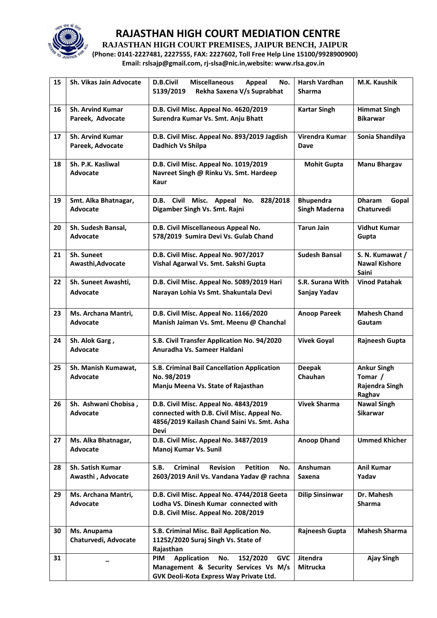

**RAJASTHAN HIGH COURT PREMISES, JAIPUR BENCH, JAIPUR**

**(Phone: 0141-2227481, 2227555, FAX: 2227602, Toll Free Help Line 15100/9928900900) Email: rslsajp@gmail.com, rj-slsa@nic.in,website: www.rlsa.gov.in**

| 15 | Sh. Vikas Jain Advocate                     | <b>D.B.Civil</b><br><b>Miscellaneous</b><br>Appeal<br>No.<br>5139/2019<br>Rekha Saxena V/s Suprabhat                                                  | <b>Harsh Vardhan</b><br><b>Sharma</b>    | M.K. Kaushik                                              |
|----|---------------------------------------------|-------------------------------------------------------------------------------------------------------------------------------------------------------|------------------------------------------|-----------------------------------------------------------|
| 16 | <b>Sh. Arvind Kumar</b><br>Pareek, Advocate | D.B. Civil Misc. Appeal No. 4620/2019<br>Surendra Kumar Vs. Smt. Anju Bhatt                                                                           | <b>Kartar Singh</b>                      | <b>Himmat Singh</b><br><b>Bikarwar</b>                    |
| 17 | <b>Sh. Arvind Kumar</b><br>Pareek, Advocate | D.B. Civil Misc. Appeal No. 893/2019 Jagdish<br>Dadhich Vs Shilpa                                                                                     | Virendra Kumar<br>Dave                   | Sonia Shandilya                                           |
| 18 | Sh. P.K. Kasliwal<br><b>Advocate</b>        | D.B. Civil Misc. Appeal No. 1019/2019<br>Navreet Singh @ Rinku Vs. Smt. Hardeep<br>Kaur                                                               | <b>Mohit Gupta</b>                       | <b>Manu Bhargav</b>                                       |
| 19 | Smt. Alka Bhatnagar,<br><b>Advocate</b>     | D.B. Civil Misc. Appeal No. 828/2018<br>Digamber Singh Vs. Smt. Rajni                                                                                 | <b>Bhupendra</b><br><b>Singh Maderna</b> | <b>Dharam</b><br>Gopal<br>Chaturvedi                      |
| 20 | Sh. Sudesh Bansal,<br><b>Advocate</b>       | D.B. Civil Miscellaneous Appeal No.<br>578/2019 Sumira Devi Vs. Gulab Chand                                                                           | <b>Tarun Jain</b>                        | <b>Vidhut Kumar</b><br>Gupta                              |
| 21 | Sh. Suneet<br>Awasthi, Advocate             | D.B. Civil Misc. Appeal No. 907/2017<br>Vishal Agarwal Vs. Smt. Sakshi Gupta                                                                          | <b>Sudesh Bansal</b>                     | S. N. Kumawat /<br><b>Nawal Kishore</b><br>Saini          |
| 22 | Sh. Suneet Awashti,<br><b>Advocate</b>      | D.B. Civil Misc. Appeal No. 5089/2019 Hari<br>Narayan Lohia Vs Smt. Shakuntala Devi                                                                   | S.R. Surana With<br>Sanjay Yadav         | <b>Vinod Patahak</b>                                      |
| 23 | Ms. Archana Mantri,<br>Advocate             | D.B. Civil Misc. Appeal No. 1166/2020<br>Manish Jaiman Vs. Smt. Meenu @ Chanchal                                                                      | <b>Anoop Pareek</b>                      | <b>Mahesh Chand</b><br>Gautam                             |
| 24 | Sh. Alok Garg,<br><b>Advocate</b>           | S.B. Civil Transfer Application No. 94/2020<br>Anuradha Vs. Sameer Haldani                                                                            | <b>Vivek Goyal</b>                       | Rajneesh Gupta                                            |
| 25 | Sh. Manish Kumawat,<br>Advocate             | S.B. Criminal Bail Cancellation Application<br>No. 98/2019<br>Manju Meena Vs. State of Rajasthan                                                      | <b>Deepak</b><br>Chauhan                 | <b>Ankur Singh</b><br>Tomar /<br>Rajendra Singh<br>Raghav |
| 26 | Sh. Ashwani Chobisa,<br>Advocate            | D.B. Civil Misc. Appeal No. 4843/2019<br>connected with D.B. Civil Misc. Appeal No.<br>4856/2019 Kailash Chand Saini Vs. Smt. Asha<br>Devi            | <b>Vivek Sharma</b>                      | <b>Nawal Singh</b><br><b>Sikarwar</b>                     |
| 27 | Ms. Alka Bhatnagar,<br><b>Advocate</b>      | D.B. Civil Misc. Appeal No. 3487/2019<br>Manoj Kumar Vs. Sunil                                                                                        | <b>Anoop Dhand</b>                       | <b>Ummed Khicher</b>                                      |
| 28 | Sh. Satish Kumar<br>Awasthi, Advocate       | <b>Criminal</b><br>S.B.<br><b>Revision</b><br><b>Petition</b><br>No.<br>2603/2019 Anil Vs. Vandana Yadav @ rachna                                     | Anshuman<br>Saxena                       | Anil Kumar<br>Yadav                                       |
| 29 | Ms. Archana Mantri,<br>Advocate             | D.B. Civil Misc. Appeal No. 4744/2018 Geeta<br>Lodha VS. Dinesh Kumar connected with<br>D.B. Civil Misc. Appeal No. 208/2019                          | <b>Dilip Sinsinwar</b>                   | Dr. Mahesh<br>Sharma                                      |
| 30 | Ms. Anupama<br>Chaturvedi, Advocate         | S.B. Criminal Misc. Bail Application No.<br>11252/2020 Suraj Singh Vs. State of<br>Rajasthan                                                          | Rajneesh Gupta                           | <b>Mahesh Sharma</b>                                      |
| 31 |                                             | <b>Application</b><br>No.<br>152/2020<br><b>PIM</b><br><b>GVC</b><br>Management & Security Services Vs M/s<br>GVK Deoli-Kota Express Way Private Ltd. | Jitendra<br>Mitrucka                     | <b>Ajay Singh</b>                                         |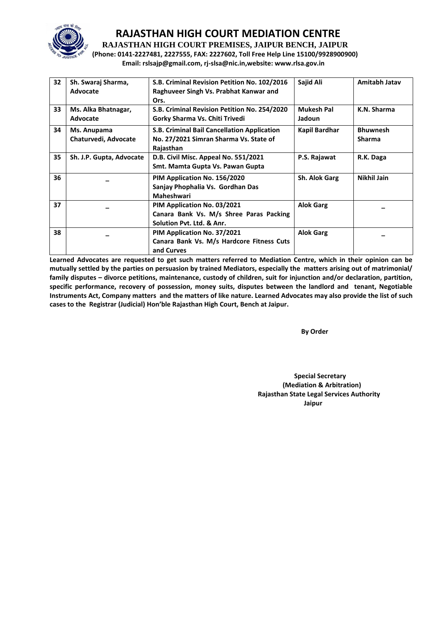

**RAJASTHAN HIGH COURT PREMISES, JAIPUR BENCH, JAIPUR**

**(Phone: 0141-2227481, 2227555, FAX: 2227602, Toll Free Help Line 15100/9928900900) Email: rslsajp@gmail.com, rj-slsa@nic.in,website: www.rlsa.gov.in**

| 32 | Sh. Swaraj Sharma,<br>Advocate      | S.B. Criminal Revision Petition No. 102/2016<br>Raghuveer Singh Vs. Prabhat Kanwar and<br>Ors.      | Sajid Ali                   | Amitabh Jatav                    |
|----|-------------------------------------|-----------------------------------------------------------------------------------------------------|-----------------------------|----------------------------------|
| 33 | Ms. Alka Bhatnagar,<br>Advocate     | S.B. Criminal Revision Petition No. 254/2020<br>Gorky Sharma Vs. Chiti Trivedi                      | <b>Mukesh Pal</b><br>Jadoun | K.N. Sharma                      |
| 34 | Ms. Anupama<br>Chaturvedi, Advocate | S.B. Criminal Bail Cancellation Application<br>No. 27/2021 Simran Sharma Vs. State of<br>Rajasthan  | Kapil Bardhar               | <b>Bhuwnesh</b><br><b>Sharma</b> |
| 35 | Sh. J.P. Gupta, Advocate            | D.B. Civil Misc. Appeal No. 551/2021<br>Smt. Mamta Gupta Vs. Pawan Gupta                            | P.S. Rajawat                | R.K. Daga                        |
| 36 |                                     | PIM Application No. 156/2020<br>Sanjay Phophalia Vs. Gordhan Das<br>Maheshwari                      | Sh. Alok Garg               | Nikhil Jain                      |
| 37 |                                     | PIM Application No. 03/2021<br>Canara Bank Vs. M/s Shree Paras Packing<br>Solution Pyt. Ltd. & Anr. | <b>Alok Garg</b>            |                                  |
| 38 |                                     | PIM Application No. 37/2021<br>Canara Bank Vs. M/s Hardcore Fitness Cuts<br>and Curves              | <b>Alok Garg</b>            |                                  |

**Learned Advocates are requested to get such matters referred to Mediation Centre, which in their opinion can be mutually settled by the parties on persuasion by trained Mediators, especially the matters arising out of matrimonial/ family disputes – divorce petitions, maintenance, custody of children, suit for injunction and/or declaration, partition, specific performance, recovery of possession, money suits, disputes between the landlord and tenant, Negotiable Instruments Act, Company matters and the matters of like nature. Learned Advocates may also provide the list of such cases to the Registrar (Judicial) Hon'ble Rajasthan High Court, Bench at Jaipur.** 

 **By Order** 

 **Special Secretary (Mediation & Arbitration) Rajasthan State Legal Services Authority** ا **Jaipur** کار است که از این است که از این است که از این است که از این است که از این است که از این است که از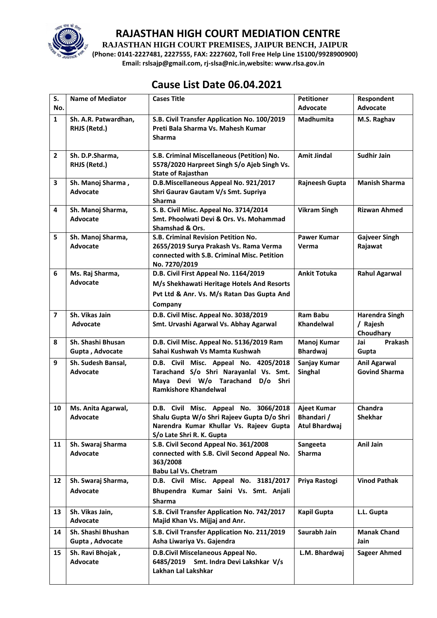

**RAJASTHAN HIGH COURT PREMISES, JAIPUR BENCH, JAIPUR**

**(Phone: 0141-2227481, 2227555, FAX: 2227602, Toll Free Help Line 15100/9928900900) Email: rslsajp@gmail.com, rj-slsa@nic.in,website: www.rlsa.gov.in**

## **Cause List Date 06.04.2021**

| S.<br>No.               | <b>Name of Mediator</b>               | <b>Cases Title</b>                                                                                                                                          | <b>Petitioner</b><br>Advocate                     | Respondent<br><b>Advocate</b>                  |
|-------------------------|---------------------------------------|-------------------------------------------------------------------------------------------------------------------------------------------------------------|---------------------------------------------------|------------------------------------------------|
|                         |                                       |                                                                                                                                                             |                                                   |                                                |
| $\mathbf{1}$            | Sh. A.R. Patwardhan,<br>RHJS (Retd.)  | S.B. Civil Transfer Application No. 100/2019<br>Preti Bala Sharma Vs. Mahesh Kumar<br><b>Sharma</b>                                                         | <b>Madhumita</b>                                  | M.S. Raghav                                    |
| $\overline{2}$          | Sh. D.P.Sharma,<br>RHJS (Retd.)       | S.B. Criminal Miscellaneous (Petition) No.<br>5578/2020 Harpreet Singh S/o Ajeb Singh Vs.<br><b>State of Rajasthan</b>                                      | <b>Amit Jindal</b>                                | <b>Sudhir Jain</b>                             |
| 3                       | Sh. Manoj Sharma,<br><b>Advocate</b>  | D.B.Miscellaneous Appeal No. 921/2017<br>Shri Gaurav Gautam V/s Smt. Supriya<br><b>Sharma</b>                                                               | Rajneesh Gupta                                    | <b>Manish Sharma</b>                           |
| 4                       | Sh. Manoj Sharma,<br><b>Advocate</b>  | S. B. Civil Misc. Appeal No. 3714/2014<br>Smt. Phoolwati Devi & Ors. Vs. Mohammad<br><b>Shamshad &amp; Ors.</b>                                             | <b>Vikram Singh</b>                               | <b>Rizwan Ahmed</b>                            |
| 5                       | Sh. Manoj Sharma,<br><b>Advocate</b>  | S.B. Criminal Revision Petition No.<br>2655/2019 Surya Prakash Vs. Rama Verma<br>connected with S.B. Criminal Misc. Petition<br>No. 7270/2019               | <b>Pawer Kumar</b><br>Verma                       | <b>Gajveer Singh</b><br>Rajawat                |
| 6                       | Ms. Raj Sharma,<br><b>Advocate</b>    | D.B. Civil First Appeal No. 1164/2019<br>M/s Shekhawati Heritage Hotels And Resorts<br>Pvt Ltd & Anr. Vs. M/s Ratan Das Gupta And<br>Company                | <b>Ankit Totuka</b>                               | <b>Rahul Agarwal</b>                           |
| $\overline{\mathbf{z}}$ | Sh. Vikas Jain<br>Advocate            | D.B. Civil Misc. Appeal No. 3038/2019<br>Smt. Urvashi Agarwal Vs. Abhay Agarwal                                                                             | <b>Ram Babu</b><br><b>Khandelwal</b>              | <b>Harendra Singh</b><br>/ Rajesh<br>Choudhary |
| 8                       | Sh. Shashi Bhusan<br>Gupta, Advocate  | D.B. Civil Misc. Appeal No. 5136/2019 Ram<br>Sahai Kushwah Vs Mamta Kushwah                                                                                 | Manoj Kumar<br><b>Bhardwaj</b>                    | Jai<br><b>Prakash</b><br>Gupta                 |
| 9                       | Sh. Sudesh Bansal,<br><b>Advocate</b> | D.B. Civil Misc. Appeal No. 4205/2018<br>Tarachand S/o Shri Narayanlal Vs. Smt.<br>Maya Devi W/o Tarachand D/o Shri<br><b>Ramkishore Khandelwal</b>         | Sanjay Kumar<br>Singhal                           | <b>Anil Agarwal</b><br><b>Govind Sharma</b>    |
| 10                      | Ms. Anita Agarwal,<br><b>Advocate</b> | D.B. Civil Misc. Appeal No. 3066/2018<br>Shalu Gupta W/o Shri Rajeev Gupta D/o Shri<br>Narendra Kumar Khullar Vs. Rajeev Gupta<br>S/o Late Shri R. K. Gupta | Ajeet Kumar<br>Bhandari /<br><b>Atul Bhardwaj</b> | Chandra<br><b>Shekhar</b>                      |
| 11                      | Sh. Swaraj Sharma<br><b>Advocate</b>  | S.B. Civil Second Appeal No. 361/2008<br>connected with S.B. Civil Second Appeal No.<br>363/2008<br><b>Babu Lal Vs. Chetram</b>                             | Sangeeta<br><b>Sharma</b>                         | Anil Jain                                      |
| 12                      | Sh. Swaraj Sharma,<br><b>Advocate</b> | D.B. Civil Misc. Appeal No. 3181/2017<br>Bhupendra Kumar Saini Vs. Smt. Anjali<br><b>Sharma</b>                                                             | Priya Rastogi                                     | <b>Vinod Pathak</b>                            |
| 13                      | Sh. Vikas Jain,<br><b>Advocate</b>    | S.B. Civil Transfer Application No. 742/2017<br>Majid Khan Vs. Mijjaj and Anr.                                                                              | Kapil Gupta                                       | L.L. Gupta                                     |
| 14                      | Sh. Shashi Bhushan<br>Gupta, Advocate | S.B. Civil Transfer Application No. 211/2019<br>Asha Liwariya Vs. Gajendra                                                                                  | Saurabh Jain                                      | <b>Manak Chand</b><br><b>Jain</b>              |
| 15                      | Sh. Ravi Bhojak,<br>Advocate          | D.B.Civil Miscelaneous Appeal No.<br>Smt. Indra Devi Lakshkar V/s<br>6485/2019<br>Lakhan Lal Lakshkar                                                       | L.M. Bhardwaj                                     | <b>Sageer Ahmed</b>                            |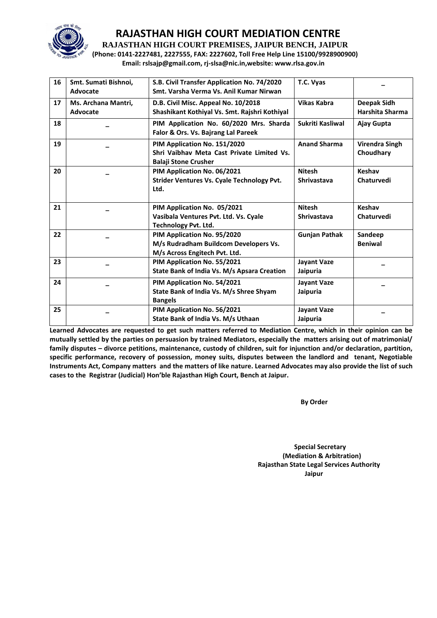

**RAJASTHAN HIGH COURT PREMISES, JAIPUR BENCH, JAIPUR**

**(Phone: 0141-2227481, 2227555, FAX: 2227602, Toll Free Help Line 15100/9928900900) Email: rslsajp@gmail.com, rj-slsa@nic.in,website: www.rlsa.gov.in**

| 16 | Smt. Sumati Bishnoi,<br>Advocate | S.B. Civil Transfer Application No. 74/2020<br>Smt. Varsha Verma Vs. Anil Kumar Nirwan                    | T.C. Vyas                           |                                    |
|----|----------------------------------|-----------------------------------------------------------------------------------------------------------|-------------------------------------|------------------------------------|
| 17 | Ms. Archana Mantri,<br>Advocate  | D.B. Civil Misc. Appeal No. 10/2018<br>Shashikant Kothiyal Vs. Smt. Rajshri Kothiyal                      | <b>Vikas Kabra</b>                  | Deepak Sidh<br>Harshita Sharma     |
| 18 |                                  | PIM Application No. 60/2020 Mrs. Sharda<br>Falor & Ors. Vs. Bajrang Lal Pareek                            | Sukriti Kasliwal                    | Ajay Gupta                         |
| 19 |                                  | PIM Application No. 151/2020<br>Shri Vaibhay Meta Cast Private Limited Vs.<br><b>Balaji Stone Crusher</b> | <b>Anand Sharma</b>                 | <b>Virendra Singh</b><br>Choudhary |
| 20 |                                  | PIM Application No. 06/2021<br><b>Strider Ventures Vs. Cyale Technology Pvt.</b><br>Ltd.                  | <b>Nitesh</b><br><b>Shrivastava</b> | Keshav<br>Chaturvedi               |
| 21 |                                  | PIM Application No. 05/2021<br>Vasibala Ventures Pvt. Ltd. Vs. Cyale<br><b>Technology Pvt. Ltd.</b>       | <b>Nitesh</b><br><b>Shrivastava</b> | Keshav<br>Chaturvedi               |
| 22 |                                  | PIM Application No. 95/2020<br>M/s Rudradham Buildcom Developers Vs.<br>M/s Across Engitech Pvt. Ltd.     | <b>Gunjan Pathak</b>                | Sandeep<br><b>Beniwal</b>          |
| 23 |                                  | PIM Application No. 55/2021<br>State Bank of India Vs. M/s Apsara Creation                                | <b>Jayant Vaze</b><br>Jaipuria      |                                    |
| 24 |                                  | PIM Application No. 54/2021<br>State Bank of India Vs. M/s Shree Shyam<br><b>Bangels</b>                  | <b>Jayant Vaze</b><br>Jaipuria      |                                    |
| 25 |                                  | PIM Application No. 56/2021<br>State Bank of India Vs. M/s Uthaan                                         | <b>Jayant Vaze</b><br>Jaipuria      |                                    |

**Learned Advocates are requested to get such matters referred to Mediation Centre, which in their opinion can be mutually settled by the parties on persuasion by trained Mediators, especially the matters arising out of matrimonial/ family disputes – divorce petitions, maintenance, custody of children, suit for injunction and/or declaration, partition, specific performance, recovery of possession, money suits, disputes between the landlord and tenant, Negotiable Instruments Act, Company matters and the matters of like nature. Learned Advocates may also provide the list of such cases to the Registrar (Judicial) Hon'ble Rajasthan High Court, Bench at Jaipur.** 

**By Order** 

 **Special Secretary (Mediation & Arbitration) Rajasthan State Legal Services Authority Jaipur**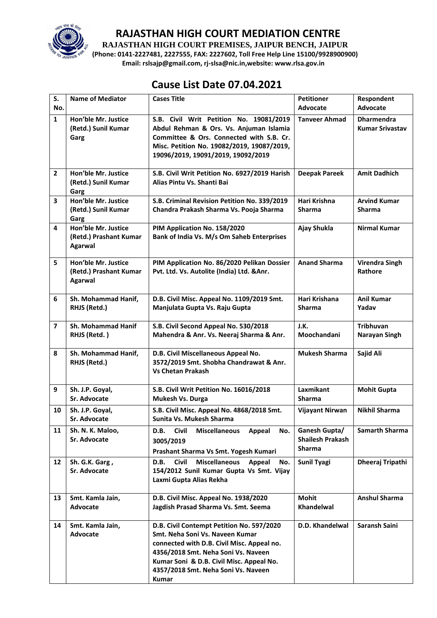

**RAJASTHAN HIGH COURT PREMISES, JAIPUR BENCH, JAIPUR**

**(Phone: 0141-2227481, 2227555, FAX: 2227602, Toll Free Help Line 15100/9928900900) Email: rslsajp@gmail.com, rj-slsa@nic.in,website: www.rlsa.gov.in**

## **Cause List Date 07.04.2021**

| S.             | <b>Name of Mediator</b>                                         | <b>Cases Title</b>                                                                                                                                                                                                                                                   | <b>Petitioner</b>                                         | Respondent                                  |
|----------------|-----------------------------------------------------------------|----------------------------------------------------------------------------------------------------------------------------------------------------------------------------------------------------------------------------------------------------------------------|-----------------------------------------------------------|---------------------------------------------|
| No.            |                                                                 |                                                                                                                                                                                                                                                                      | Advocate                                                  | Advocate                                    |
| $\mathbf{1}$   | Hon'ble Mr. Justice<br>(Retd.) Sunil Kumar<br>Garg              | S.B. Civil Writ Petition No. 19081/2019<br>Abdul Rehman & Ors. Vs. Anjuman Islamia<br>Committee & Ors. Connected with S.B. Cr.<br>Misc. Petition No. 19082/2019, 19087/2019,<br>19096/2019, 19091/2019, 19092/2019                                                   | <b>Tanveer Ahmad</b>                                      | <b>Dharmendra</b><br><b>Kumar Srivastav</b> |
| $\overline{2}$ | Hon'ble Mr. Justice<br>(Retd.) Sunil Kumar<br>Garg              | S.B. Civil Writ Petition No. 6927/2019 Harish<br>Alias Pintu Vs. Shanti Bai                                                                                                                                                                                          | <b>Deepak Pareek</b>                                      | <b>Amit Dadhich</b>                         |
| 3              | Hon'ble Mr. Justice<br>(Retd.) Sunil Kumar<br>Garg              | S.B. Criminal Revision Petition No. 339/2019<br>Chandra Prakash Sharma Vs. Pooja Sharma                                                                                                                                                                              | Hari Krishna<br><b>Sharma</b>                             | <b>Arvind Kumar</b><br><b>Sharma</b>        |
| 4              | Hon'ble Mr. Justice<br>(Retd.) Prashant Kumar<br><b>Agarwal</b> | PIM Application No. 158/2020<br>Bank of India Vs. M/s Om Saheb Enterprises                                                                                                                                                                                           | Ajay Shukla                                               | <b>Nirmal Kumar</b>                         |
| 5              | Hon'ble Mr. Justice<br>(Retd.) Prashant Kumar<br><b>Agarwal</b> | PIM Application No. 86/2020 Pelikan Dossier<br>Pvt. Ltd. Vs. Autolite (India) Ltd. & Anr.                                                                                                                                                                            | <b>Anand Sharma</b>                                       | <b>Virendra Singh</b><br>Rathore            |
| 6              | Sh. Mohammad Hanif,<br>RHJS (Retd.)                             | D.B. Civil Misc. Appeal No. 1109/2019 Smt.<br>Manjulata Gupta Vs. Raju Gupta                                                                                                                                                                                         | Hari Krishana<br>Sharma                                   | <b>Anil Kumar</b><br>Yadav                  |
| $\overline{7}$ | Sh. Mohammad Hanif<br>RHJS (Retd.)                              | S.B. Civil Second Appeal No. 530/2018<br>Mahendra & Anr. Vs. Neeraj Sharma & Anr.                                                                                                                                                                                    | J.K.<br>Moochandani                                       | <b>Tribhuvan</b><br>Narayan Singh           |
| 8              | Sh. Mohammad Hanif,<br>RHJS (Retd.)                             | D.B. Civil Miscellaneous Appeal No.<br>3572/2019 Smt. Shobha Chandrawat & Anr.<br><b>Vs Chetan Prakash</b>                                                                                                                                                           | <b>Mukesh Sharma</b>                                      | Sajid Ali                                   |
| 9              | Sh. J.P. Goyal,<br>Sr. Advocate                                 | S.B. Civil Writ Petition No. 16016/2018<br>Mukesh Vs. Durga                                                                                                                                                                                                          | Laxmikant<br><b>Sharma</b>                                | <b>Mohit Gupta</b>                          |
| 10             | Sh. J.P. Goyal,<br>Sr. Advocate                                 | S.B. Civil Misc. Appeal No. 4868/2018 Smt.<br>Sunita Vs. Mukesh Sharma                                                                                                                                                                                               | Vijayant Nirwan                                           | <b>Nikhil Sharma</b>                        |
| 11             | Sh. N. K. Maloo,<br>Sr. Advocate                                | <b>Miscellaneous</b><br>Civil<br>D.B.<br>Appeal<br>No.<br>3005/2019<br>Prashant Sharma Vs Smt. Yogesh Kumari                                                                                                                                                         | Ganesh Gupta/<br><b>Shailesh Prakash</b><br><b>Sharma</b> | <b>Samarth Sharma</b>                       |
| 12             | Sh. G.K. Garg,<br>Sr. Advocate                                  | <b>Civil</b><br><b>Miscellaneous</b><br>D.B.<br>Appeal<br>No.<br>154/2012 Sunil Kumar Gupta Vs Smt. Vijay<br>Laxmi Gupta Alias Rekha                                                                                                                                 | <b>Sunil Tyagi</b>                                        | Dheeraj Tripathi                            |
| 13             | Smt. Kamla Jain,<br>Advocate                                    | D.B. Civil Misc. Appeal No. 1938/2020<br>Jagdish Prasad Sharma Vs. Smt. Seema                                                                                                                                                                                        | <b>Mohit</b><br>Khandelwal                                | <b>Anshul Sharma</b>                        |
| 14             | Smt. Kamla Jain,<br><b>Advocate</b>                             | D.B. Civil Contempt Petition No. 597/2020<br>Smt. Neha Soni Vs. Naveen Kumar<br>connected with D.B. Civil Misc. Appeal no.<br>4356/2018 Smt. Neha Soni Vs. Naveen<br>Kumar Soni & D.B. Civil Misc. Appeal No.<br>4357/2018 Smt. Neha Soni Vs. Naveen<br><b>Kumar</b> | D.D. Khandelwal                                           | Saransh Saini                               |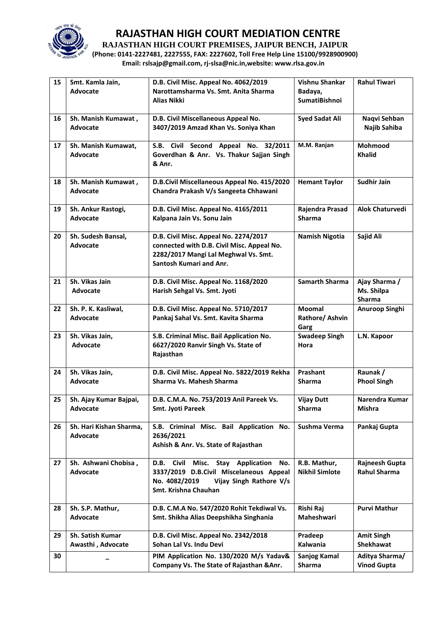

**RAJASTHAN HIGH COURT PREMISES, JAIPUR BENCH, JAIPUR**

**(Phone: 0141-2227481, 2227555, FAX: 2227602, Toll Free Help Line 15100/9928900900) Email: rslsajp@gmail.com, rj-slsa@nic.in,website: www.rlsa.gov.in**

| 15 | Smt. Kamla Jain,<br>Advocate                 | D.B. Civil Misc. Appeal No. 4062/2019<br>Narottamsharma Vs. Smt. Anita Sharma<br><b>Alias Nikki</b>                                                                     | Vishnu Shankar<br>Badaya,<br><b>SumatiBishnoi</b> | <b>Rahul Tiwari</b>                          |
|----|----------------------------------------------|-------------------------------------------------------------------------------------------------------------------------------------------------------------------------|---------------------------------------------------|----------------------------------------------|
| 16 | Sh. Manish Kumawat,<br>Advocate              | D.B. Civil Miscellaneous Appeal No.<br>3407/2019 Amzad Khan Vs. Soniya Khan                                                                                             | <b>Syed Sadat Ali</b>                             | Naqvi Sehban<br>Najib Sahiba                 |
| 17 | Sh. Manish Kumawat,<br>Advocate              | S.B. Civil Second Appeal No. 32/2011<br>Goverdhan & Anr. Vs. Thakur Sajjan Singh<br>& Anr.                                                                              | M.M. Ranjan                                       | Mohmood<br><b>Khalid</b>                     |
| 18 | Sh. Manish Kumawat,<br><b>Advocate</b>       | D.B.Civil Miscellaneous Appeal No. 415/2020<br>Chandra Prakash V/s Sangeeta Chhawani                                                                                    | <b>Hemant Taylor</b>                              | <b>Sudhir Jain</b>                           |
| 19 | Sh. Ankur Rastogi,<br><b>Advocate</b>        | D.B. Civil Misc. Appeal No. 4165/2011<br>Kalpana Jain Vs. Sonu Jain                                                                                                     | Rajendra Prasad<br><b>Sharma</b>                  | <b>Alok Chaturvedi</b>                       |
| 20 | Sh. Sudesh Bansal,<br>Advocate               | D.B. Civil Misc. Appeal No. 2274/2017<br>connected with D.B. Civil Misc. Appeal No.<br>2282/2017 Mangi Lal Meghwal Vs. Smt.<br>Santosh Kumari and Anr.                  | <b>Namish Nigotia</b>                             | Sajid Ali                                    |
| 21 | Sh. Vikas Jain<br><b>Advocate</b>            | D.B. Civil Misc. Appeal No. 1168/2020<br>Harish Sehgal Vs. Smt. Jyoti                                                                                                   | <b>Samarth Sharma</b>                             | Ajay Sharma /<br>Ms. Shilpa<br><b>Sharma</b> |
| 22 | Sh. P. K. Kasliwal,<br>Advocate              | D.B. Civil Misc. Appeal No. 5710/2017<br>Pankaj Sahal Vs. Smt. Kavita Sharma                                                                                            | <b>Moomal</b><br>Rathore/ Ashvin<br>Garg          | Anuroop Singhi                               |
| 23 | Sh. Vikas Jain,<br><b>Advocate</b>           | S.B. Criminal Misc. Bail Application No.<br>6627/2020 Ranvir Singh Vs. State of<br>Rajasthan                                                                            | <b>Swadeep Singh</b><br>Hora                      | L.N. Kapoor                                  |
| 24 | Sh. Vikas Jain,<br>Advocate                  | D.B. Civil Misc. Appeal No. 5822/2019 Rekha<br>Sharma Vs. Mahesh Sharma                                                                                                 | Prashant<br><b>Sharma</b>                         | Raunak /<br><b>Phool Singh</b>               |
| 25 | Sh. Ajay Kumar Bajpai,<br>Advocate           | D.B. C.M.A. No. 753/2019 Anil Pareek Vs.<br><b>Smt. Jyoti Pareek</b>                                                                                                    | <b>Vijay Dutt</b><br><b>Sharma</b>                | Narendra Kumar<br>Mishra                     |
| 26 | Sh. Hari Kishan Sharma,<br>Advocate          | S.B. Criminal Misc. Bail Application No.<br>2636/2021<br>Ashish & Anr. Vs. State of Rajasthan                                                                           | Sushma Verma                                      | Pankaj Gupta                                 |
| 27 | Sh. Ashwani Chobisa,<br>Advocate             | <b>Civil</b><br>Misc.<br>D.B.<br>Stay Application<br>No.<br>3337/2019 D.B.Civil Miscelaneous Appeal<br>No. 4082/2019<br>Vijay Singh Rathore V/s<br>Smt. Krishna Chauhan | R.B. Mathur,<br><b>Nikhil Simlote</b>             | Rajneesh Gupta<br><b>Rahul Sharma</b>        |
| 28 | Sh. S.P. Mathur,<br>Advocate                 | D.B. C.M.A No. 547/2020 Rohit Tekdiwal Vs.<br>Smt. Shikha Alias Deepshikha Singhania                                                                                    | Rishi Raj<br>Maheshwari                           | <b>Purvi Mathur</b>                          |
| 29 | <b>Sh. Satish Kumar</b><br>Awasthi, Advocate | D.B. Civil Misc. Appeal No. 2342/2018<br>Sohan Lal Vs. Indu Devi                                                                                                        | Pradeep<br>Kalwania                               | <b>Amit Singh</b><br>Shekhawat               |
| 30 |                                              | PIM Application No. 130/2020 M/s Yadav&<br>Company Vs. The State of Rajasthan & Anr.                                                                                    | Sanjog Kamal<br>Sharma                            | Aditya Sharma/<br><b>Vinod Gupta</b>         |